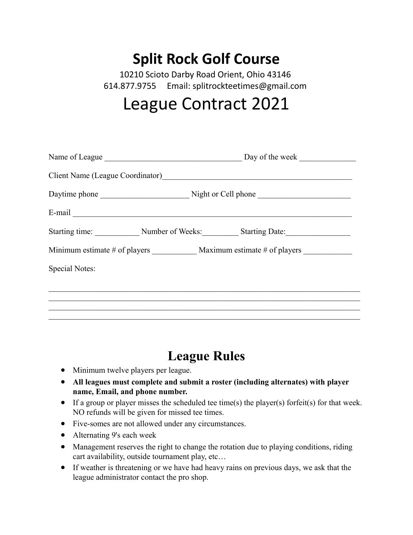## **Split Rock Golf Course**

10210 Scioto Darby Road Orient, Ohio 43146 614.877.9755 Email: splitrockteetimes@gmail.com

## League Contract 2021

| Name of League        |                                                |  | Day of the week                                               |  |
|-----------------------|------------------------------------------------|--|---------------------------------------------------------------|--|
|                       |                                                |  | Client Name (League Coordinator)<br><u>League</u> Coordinator |  |
|                       |                                                |  |                                                               |  |
|                       |                                                |  |                                                               |  |
|                       | Starting time: Number of Weeks: Starting Date: |  |                                                               |  |
|                       |                                                |  | Minimum estimate # of players Maximum estimate # of players   |  |
| <b>Special Notes:</b> |                                                |  |                                                               |  |
|                       |                                                |  |                                                               |  |
|                       |                                                |  |                                                               |  |
|                       |                                                |  |                                                               |  |

## **League Rules**

- Minimum twelve players per league.
- **All leagues must complete and submit a roster (including alternates) with player name, Email, and phone number.**
- If a group or player misses the scheduled tee time(s) the player(s) forfeit(s) for that week. NO refunds will be given for missed tee times.
- Five-somes are not allowed under any circumstances.
- Alternating 9's each week
- Management reserves the right to change the rotation due to playing conditions, riding cart availability, outside tournament play, etc…
- If weather is threatening or we have had heavy rains on previous days, we ask that the league administrator contact the pro shop.